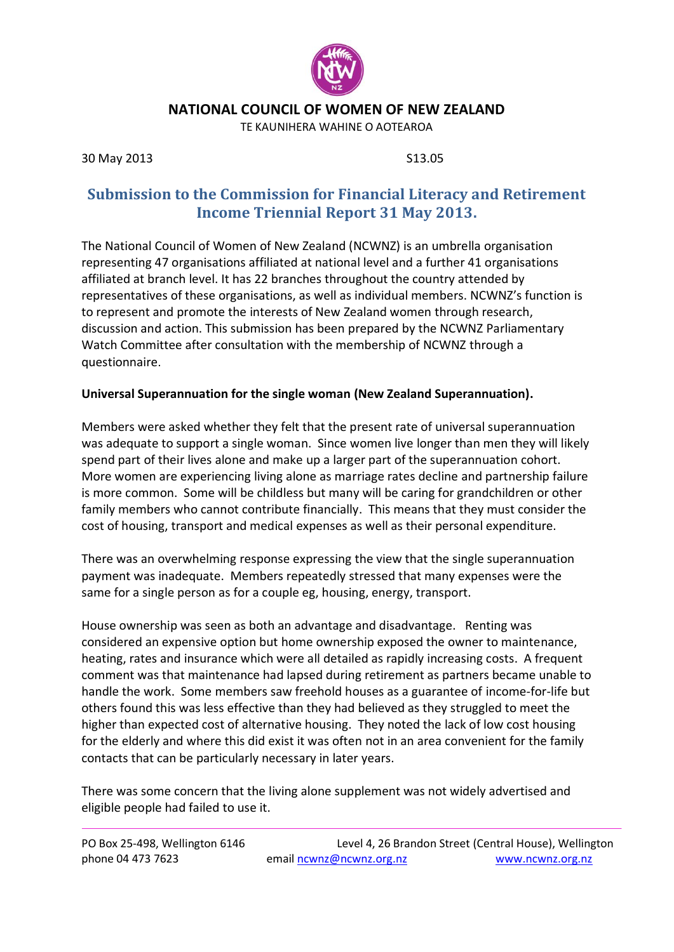

### **NATIONAL COUNCIL OF WOMEN OF NEW ZEALAND**

TE KAUNIHERA WAHINE O AOTEAROA

30 May 2013 S13.05

# **Submission to the Commission for Financial Literacy and Retirement Income Triennial Report 31 May 2013.**

The National Council of Women of New Zealand (NCWNZ) is an umbrella organisation representing 47 organisations affiliated at national level and a further 41 organisations affiliated at branch level. It has 22 branches throughout the country attended by representatives of these organisations, as well as individual members. NCWNZ's function is to represent and promote the interests of New Zealand women through research, discussion and action. This submission has been prepared by the NCWNZ Parliamentary Watch Committee after consultation with the membership of NCWNZ through a questionnaire.

#### **Universal Superannuation for the single woman (New Zealand Superannuation).**

Members were asked whether they felt that the present rate of universal superannuation was adequate to support a single woman. Since women live longer than men they will likely spend part of their lives alone and make up a larger part of the superannuation cohort. More women are experiencing living alone as marriage rates decline and partnership failure is more common. Some will be childless but many will be caring for grandchildren or other family members who cannot contribute financially. This means that they must consider the cost of housing, transport and medical expenses as well as their personal expenditure.

There was an overwhelming response expressing the view that the single superannuation payment was inadequate. Members repeatedly stressed that many expenses were the same for a single person as for a couple eg, housing, energy, transport.

House ownership was seen as both an advantage and disadvantage. Renting was considered an expensive option but home ownership exposed the owner to maintenance, heating, rates and insurance which were all detailed as rapidly increasing costs. A frequent comment was that maintenance had lapsed during retirement as partners became unable to handle the work. Some members saw freehold houses as a guarantee of income-for-life but others found this was less effective than they had believed as they struggled to meet the higher than expected cost of alternative housing. They noted the lack of low cost housing for the elderly and where this did exist it was often not in an area convenient for the family contacts that can be particularly necessary in later years.

There was some concern that the living alone supplement was not widely advertised and eligible people had failed to use it.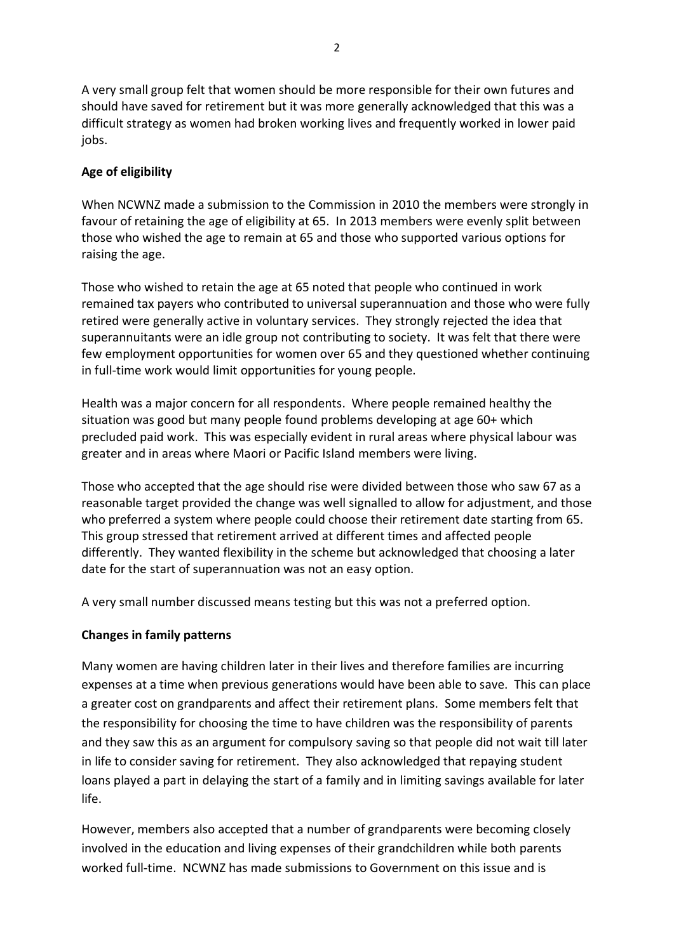A very small group felt that women should be more responsible for their own futures and should have saved for retirement but it was more generally acknowledged that this was a difficult strategy as women had broken working lives and frequently worked in lower paid jobs.

## **Age of eligibility**

When NCWNZ made a submission to the Commission in 2010 the members were strongly in favour of retaining the age of eligibility at 65. In 2013 members were evenly split between those who wished the age to remain at 65 and those who supported various options for raising the age.

Those who wished to retain the age at 65 noted that people who continued in work remained tax payers who contributed to universal superannuation and those who were fully retired were generally active in voluntary services. They strongly rejected the idea that superannuitants were an idle group not contributing to society. It was felt that there were few employment opportunities for women over 65 and they questioned whether continuing in full-time work would limit opportunities for young people.

Health was a major concern for all respondents. Where people remained healthy the situation was good but many people found problems developing at age 60+ which precluded paid work. This was especially evident in rural areas where physical labour was greater and in areas where Maori or Pacific Island members were living.

Those who accepted that the age should rise were divided between those who saw 67 as a reasonable target provided the change was well signalled to allow for adjustment, and those who preferred a system where people could choose their retirement date starting from 65. This group stressed that retirement arrived at different times and affected people differently. They wanted flexibility in the scheme but acknowledged that choosing a later date for the start of superannuation was not an easy option.

A very small number discussed means testing but this was not a preferred option.

### **Changes in family patterns**

Many women are having children later in their lives and therefore families are incurring expenses at a time when previous generations would have been able to save. This can place a greater cost on grandparents and affect their retirement plans. Some members felt that the responsibility for choosing the time to have children was the responsibility of parents and they saw this as an argument for compulsory saving so that people did not wait till later in life to consider saving for retirement. They also acknowledged that repaying student loans played a part in delaying the start of a family and in limiting savings available for later life.

However, members also accepted that a number of grandparents were becoming closely involved in the education and living expenses of their grandchildren while both parents worked full-time. NCWNZ has made submissions to Government on this issue and is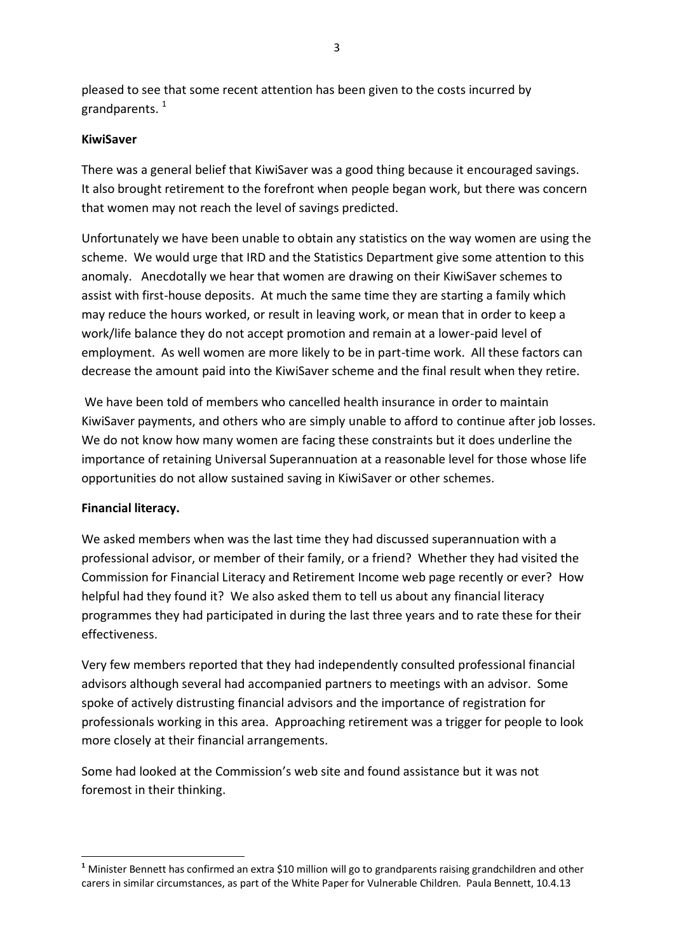pleased to see that some recent attention has been given to the costs incurred by grandparents. $1$ 

### **KiwiSaver**

There was a general belief that KiwiSaver was a good thing because it encouraged savings. It also brought retirement to the forefront when people began work, but there was concern that women may not reach the level of savings predicted.

Unfortunately we have been unable to obtain any statistics on the way women are using the scheme. We would urge that IRD and the Statistics Department give some attention to this anomaly. Anecdotally we hear that women are drawing on their KiwiSaver schemes to assist with first-house deposits. At much the same time they are starting a family which may reduce the hours worked, or result in leaving work, or mean that in order to keep a work/life balance they do not accept promotion and remain at a lower-paid level of employment. As well women are more likely to be in part-time work. All these factors can decrease the amount paid into the KiwiSaver scheme and the final result when they retire.

We have been told of members who cancelled health insurance in order to maintain KiwiSaver payments, and others who are simply unable to afford to continue after job losses. We do not know how many women are facing these constraints but it does underline the importance of retaining Universal Superannuation at a reasonable level for those whose life opportunities do not allow sustained saving in KiwiSaver or other schemes.

### **Financial literacy.**

We asked members when was the last time they had discussed superannuation with a professional advisor, or member of their family, or a friend? Whether they had visited the Commission for Financial Literacy and Retirement Income web page recently or ever? How helpful had they found it? We also asked them to tell us about any financial literacy programmes they had participated in during the last three years and to rate these for their effectiveness.

Very few members reported that they had independently consulted professional financial advisors although several had accompanied partners to meetings with an advisor. Some spoke of actively distrusting financial advisors and the importance of registration for professionals working in this area. Approaching retirement was a trigger for people to look more closely at their financial arrangements.

Some had looked at the Commission's web site and found assistance but it was not foremost in their thinking.

<sup>1</sup> **<sup>1</sup>** Minister Bennett has confirmed an extra \$10 million will go to grandparents raising grandchildren and other carers in similar circumstances, as part of the White Paper for Vulnerable Children. Paula Bennett, 10.4.13